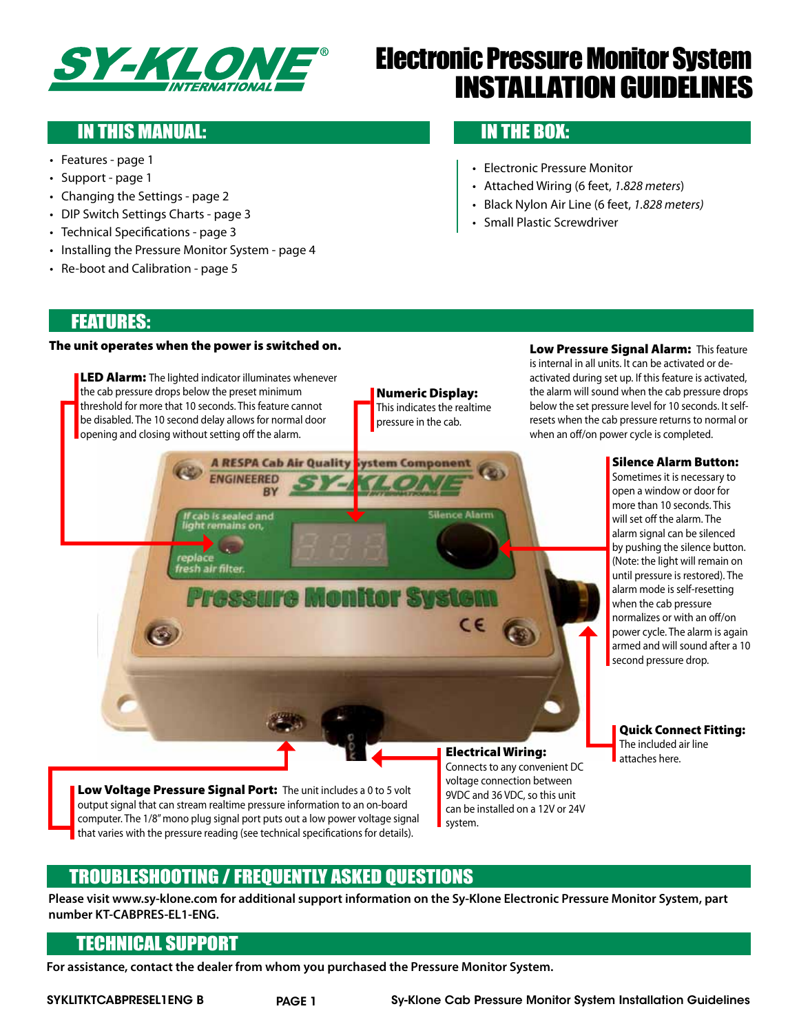

# Electronic Pressure Monitor System Installation Guidelines

# IN THIS MANUAL: **IN THE BOX:**

- • Features page 1
- Support page 1
- Changing the Settings page 2
- DIP Switch Settings Charts page 3
- Technical Specifications page 3
- Installing the Pressure Monitor System page 4
- Re-boot and Calibration page 5

- Electronic Pressure Monitor
- • Attached Wiring (6 feet, *1.828 meters*)
- • Black Nylon Air Line (6 feet, *1.828 meters)*
- • Small Plastic Screwdriver

#### Features:

#### The unit operates when the power is switched on.

**LED Alarm:** The lighted indicator illuminates whenever the cab pressure drops below the preset minimum threshold for more that 10 seconds. This feature cannot be disabled. The 10 second delay allows for normal door opening and closing without setting off the alarm.

**A RESPA Cab Air Quality** 

**BY** 

**ENGINEERED** 

ab is sealed and<br>ht remains on,

fresh air filter.

#### Numeric Display:

This indicates the realtime pressure in the cab.

**Jence Alarm** 

C€

ystem Component

ressure Monitor System

Low Pressure Signal Alarm: This feature is internal in all units. It can be activated or deactivated during set up. If this feature is activated, the alarm will sound when the cab pressure drops below the set pressure level for 10 seconds. It selfresets when the cab pressure returns to normal or when an off/on power cycle is completed.

#### Silence Alarm Button:

Sometimes it is necessary to open a window or door for more than 10 seconds. This will set off the alarm. The alarm signal can be silenced by pushing the silence button. (Note: the light will remain on until pressure is restored). The alarm mode is self-resetting when the cab pressure normalizes or with an off/on power cycle. The alarm is again armed and will sound after a 10 second pressure drop.

Quick Connect Fitting: The included air line attaches here.

Low Voltage Pressure Signal Port: The unit includes a 0 to 5 volt output signal that can stream realtime pressure information to an on-board computer. The 1/8"mono plug signal port puts out a low power voltage signal that varies with the pressure reading (see technical specifications for details).

#### Electrical Wiring:

Connects to any convenient DC voltage connection between 9VDC and 36 VDC, so this unit can be installed on a 12V or 24V system.

 $\bigcirc$ 

## Troubleshooting / Frequently Asked Questions

**Please visit www.sy-klone.com for additional support information on the Sy-Klone Electronic Pressure Monitor System, part number KT-CABPRES-EL1-ENG.**

#### Technical Support

**For assistance, contact the dealer from whom you purchased the Pressure Monitor System.**

SYKLITKTCABPRESEL1ENG B PAGE 1 Sy-Klone Cab Pressure Monitor System Installation Guidelines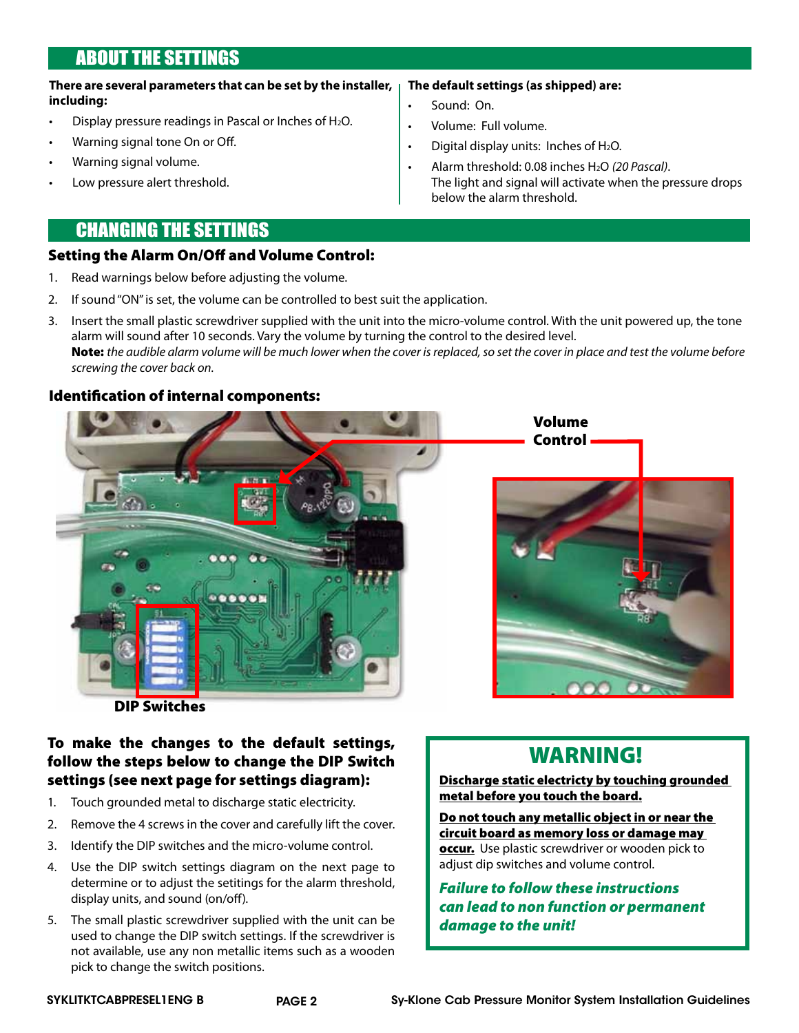# About the Settings

#### **There are several parameters that can be set by the installer, including: The default settings (as shipped) are:** Sound: On.

- Display pressure readings in Pascal or Inches of H<sub>2</sub>O.
- Warning signal tone On or Off.
- Warning signal volume.
- Low pressure alert threshold.

# Changing the Settings

#### Setting the Alarm On/Off and Volume Control:

- 1. Read warnings below before adjusting the volume.
- 2. If sound "ON" is set, the volume can be controlled to best suit the application.
- 3. Insert the small plastic screwdriver supplied with the unit into the micro-volume control. With the unit powered up, the tone alarm will sound after 10 seconds. Vary the volume by turning the control to the desired level. Note: *the audible alarm volume will be much lower when the cover is replaced, so set the cover in place and test the volume before screwing the cover back on.*

Volume: Full volume.

• Digital display units: Inches of  $H_2O$ .

below the alarm threshold.

Alarm threshold: 0.08 inches H<sub>2</sub>O (20 Pascal).

The light and signal will activate when the pressure drops

#### Identification of internal components:



#### To make the changes to the default settings, follow the steps below to change the DIP Switch settings (see next page for settings diagram):

- 1. Touch grounded metal to discharge static electricity.
- 2. Remove the 4 screws in the cover and carefully lift the cover.
- 3. Identify the DIP switches and the micro-volume control.
- 4. Use the DIP switch settings diagram on the next page to determine or to adjust the setitings for the alarm threshold, display units, and sound (on/off).
- 5. The small plastic screwdriver supplied with the unit can be used to change the DIP switch settings. If the screwdriver is not available, use any non metallic items such as a wooden pick to change the switch positions.

# WARNING!

#### Discharge static electricty by touching grounded metal before you touch the board.

Do not touch any metallic object in or near the circuit board as memory loss or damage may occur. Use plastic screwdriver or wooden pick to adiust dip switches and volume control.

*Failure to follow these instructions can lead to non function or permanent damage to the unit!*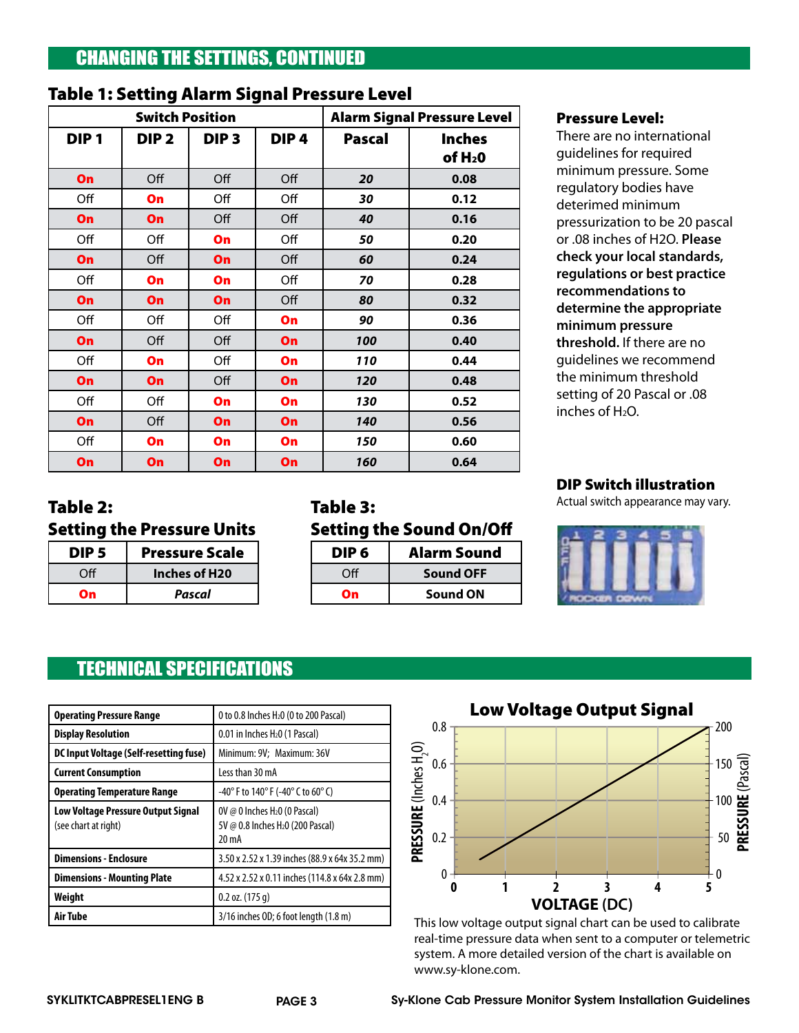# Changing the Settings, continued

|                        | ັ                |                  | ້                |                                    |                                      |
|------------------------|------------------|------------------|------------------|------------------------------------|--------------------------------------|
| <b>Switch Position</b> |                  |                  |                  | <b>Alarm Signal Pressure Level</b> |                                      |
| DIP <sub>1</sub>       | DIP <sub>2</sub> | DIP <sub>3</sub> | DIP <sub>4</sub> | <b>Pascal</b>                      | <b>Inches</b><br>of H <sub>2</sub> 0 |
| On                     | Off              | Off              | Off              | 20                                 | 0.08                                 |
| Off                    | On               | Off              | Off              | 30                                 | 0.12                                 |
| On                     | On               | Off              | Off              | 40                                 | 0.16                                 |
| Off                    | Off              | On               | Off              | 50                                 | 0.20                                 |
| On                     | Off              | On               | Off              | 60                                 | 0.24                                 |
| Off                    | On               | On               | Off              | 70                                 | 0.28                                 |
| On                     | On               | On               | Off              | 80                                 | 0.32                                 |
| Off                    | Off              | Off              | On               | 90                                 | 0.36                                 |
| On                     | Off              | Off              | On               | 100                                | 0.40                                 |
| Off                    | On               | Off              | On               | 110                                | 0.44                                 |
| On                     | On               | Off              | On               | 120                                | 0.48                                 |
| Off                    | Off              | On               | On               | 130                                | 0.52                                 |
| On                     | Off              | On               | On               | 140                                | 0.56                                 |
| Off                    | On               | On               | On               | 150                                | 0.60                                 |
| On                     | On               | On               | On               | 160                                | 0.64                                 |

#### Table 1: Setting Alarm Signal Pressure Level

#### Pressure Level:

There are no international guidelines for required minimum pressure. Some regulatory bodies have deterimed minimum pressurization to be 20 pascal or .08 inches of H2O. **Please check your local standards, regulations or best practice recommendations to determine the appropriate minimum pressure threshold.** If there are no guidelines we recommend the minimum threshold setting of 20 Pascal or .08 inches of H2O.

#### DIP Switch illustration

Actual switch appearance may vary.



## DIP 5 Pressure Scale Off **Inches of H20**

On *Pascal*

Setting the Pressure Units

Table 2:

#### Table 3: Setting the Sound On/Off

| DIP 6            | Alarm Sound      |
|------------------|------------------|
| Off <sup>-</sup> | <b>Sound OFF</b> |
|                  | <b>Sound ON</b>  |

# Technical Specifications

| <b>Operating Pressure Range</b>                            | 0 to 0.8 Inches H <sub>2</sub> 0 (0 to 200 Pascal)                                                   |  |
|------------------------------------------------------------|------------------------------------------------------------------------------------------------------|--|
| <b>Display Resolution</b>                                  | 0.01 in Inches H <sub>2</sub> 0 (1 Pascal)                                                           |  |
| DC Input Voltage (Self-resetting fuse)                     | Minimum: 9V; Maximum: 36V                                                                            |  |
| <b>Current Consumption</b>                                 | Less than 30 mA                                                                                      |  |
| <b>Operating Temperature Range</b>                         | -40° F to 140° F (-40° C to 60° C)                                                                   |  |
| Low Voltage Pressure Output Signal<br>(see chart at right) | OV @ 0 Inches $H20$ (0 Pascal)<br>5V @ 0.8 Inches H <sub>2</sub> 0 (200 Pascal)<br>20 <sub>m</sub> A |  |
| <b>Dimensions - Enclosure</b>                              | 3.50 x 2.52 x 1.39 inches (88.9 x 64x 35.2 mm)                                                       |  |
| <b>Dimensions - Mounting Plate</b>                         | 4.52 x 2.52 x 0.11 inches (114.8 x 64x 2.8 mm)                                                       |  |
| Weight                                                     | $0.2$ oz. $(175q)$                                                                                   |  |
| Air Tube                                                   | 3/16 inches OD; 6 foot length (1.8 m)                                                                |  |



This low voltage output signal chart can be used to calibrate real-time pressure data when sent to a computer or telemetric system. A more detailed version of the chart is available on www.sy-klone.com.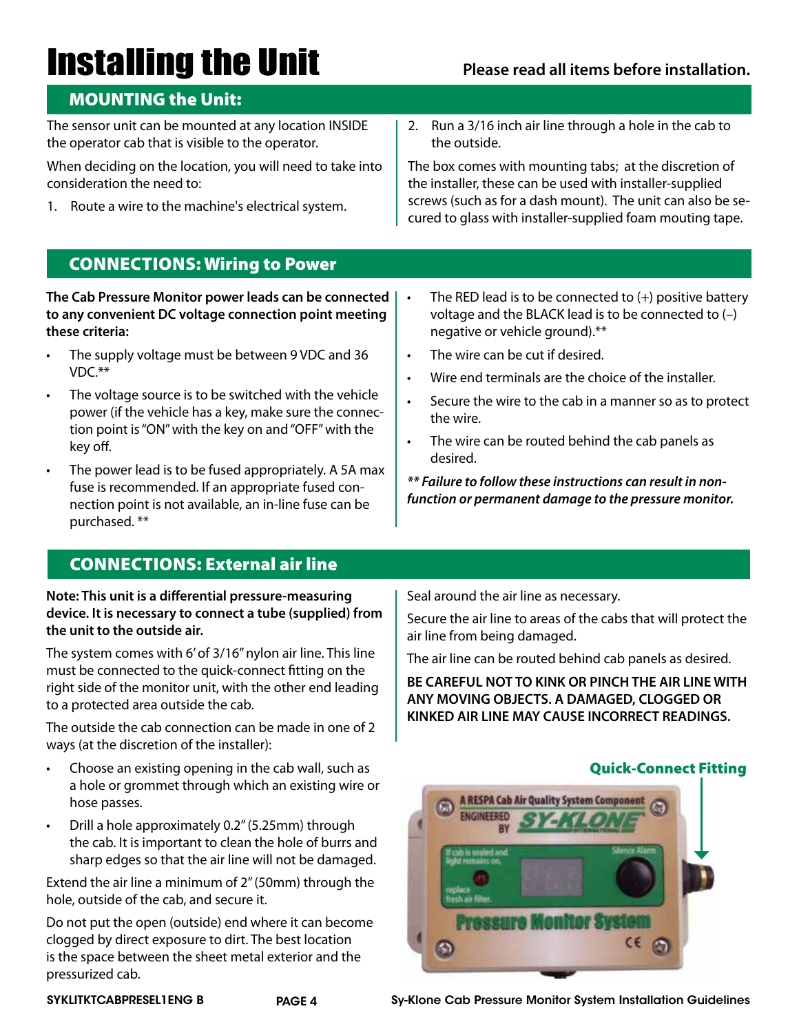# **Installing the Unit** Please read all items before installation.

#### MOUNTING the Unit:

The sensor unit can be mounted at any location INSIDE the operator cab that is visible to the operator.

When deciding on the location, you will need to take into consideration the need to:

- 1. Route a wire to the machine's electrical system.
- 2. Run a 3/16 inch air line through a hole in the cab to the outside.

The box comes with mounting tabs; at the discretion of the installer, these can be used with installer-supplied screws (such as for a dash mount). The unit can also be secured to glass with installer-supplied foam mouting tape.

The RED lead is to be connected to  $(+)$  positive battery voltage and the BLACK lead is to be connected to (–)

Secure the wire to the cab in a manner so as to protect

Wire end terminals are the choice of the installer.

• The wire can be routed behind the cab panels as

*\*\* Failure to follow these instructions can result in nonfunction or permanent damage to the pressure monitor.* 

## Connections: Wiring to Power

**The Cab Pressure Monitor power leads can be connected to any convenient DC voltage connection point meeting these criteria:**

- The supply voltage must be between 9 VDC and 36 VDC.\*\*
- The voltage source is to be switched with the vehicle power (if the vehicle has a key, make sure the connection point is"ON"with the key on and"OFF"with the key off.
- The power lead is to be fused appropriately. A 5A max fuse is recommended. If an appropriate fused connection point is not available, an in-line fuse can be purchased. \*\*

## Connections: External air line

**Note: This unit is a differential pressure-measuring device. It is necessary to connect a tube (supplied) from the unit to the outside air.** 

The system comes with 6'of 3/16"nylon air line. This line must be connected to the quick-connect fitting on the right side of the monitor unit, with the other end leading to a protected area outside the cab.

The outside the cab connection can be made in one of 2 ways (at the discretion of the installer):

- Choose an existing opening in the cab wall, such as a hole or grommet through which an existing wire or hose passes.
- Drill a hole approximately 0.2" (5.25mm) through the cab. It is important to clean the hole of burrs and sharp edges so that the air line will not be damaged.

Extend the air line a minimum of 2"(50mm) through the hole, outside of the cab, and secure it.

Do not put the open (outside) end where it can become clogged by direct exposure to dirt. The best location is the space between the sheet metal exterior and the pressurized cab.

Seal around the air line as necessary.

negative or vehicle ground).\*\* The wire can be cut if desired.

the wire.

desired.

Secure the air line to areas of the cabs that will protect the air line from being damaged.

The air line can be routed behind cab panels as desired.

**BE CAREFUL NOT TO KINK OR PINCH THE AIR LINE WITH ANY MOVING OBJECTS. A DAMAGED, CLOGGED OR KINKED AIR LINE MAY CAUSE INCORRECT READINGS.**



SYKLITKTCABPRESEL1ENG B PAGE 4 Sy-Klone Cab Pressure Monitor System Installation Guidelines